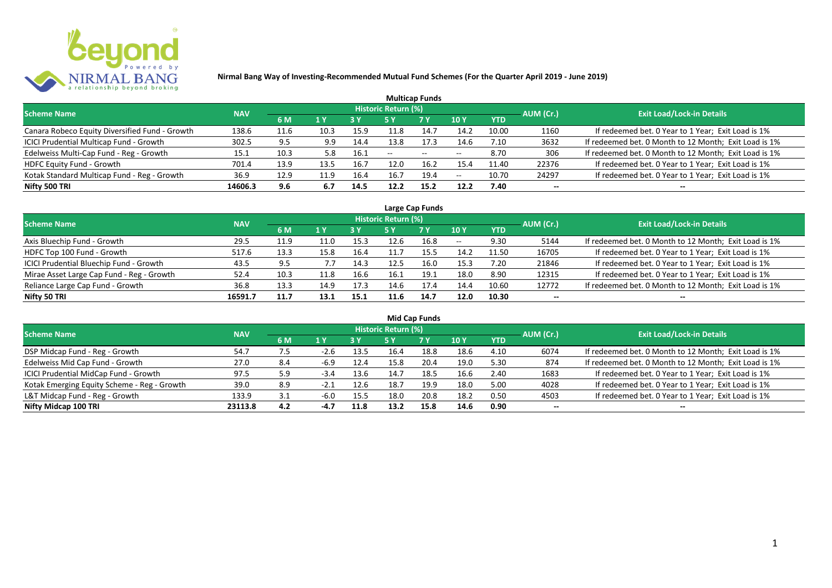

| <b>Multicap Funds</b>                          |            |      |      |      |                            |                          |                          |       |           |                                                       |  |  |  |  |
|------------------------------------------------|------------|------|------|------|----------------------------|--------------------------|--------------------------|-------|-----------|-------------------------------------------------------|--|--|--|--|
| <b>Scheme Name</b>                             | <b>NAV</b> |      |      |      | <b>Historic Return (%)</b> |                          |                          |       | AUM (Cr.) | <b>Exit Load/Lock-in Details</b>                      |  |  |  |  |
|                                                |            | 6 M  | 1 Y  |      |                            | <b>7 Y</b>               | <b>10Y</b>               | YTD   |           |                                                       |  |  |  |  |
| Canara Robeco Equity Diversified Fund - Growth | 138.6      | 11.6 | 10.3 | 15.9 | 11.8                       | 14.7                     | 14.2                     | 10.00 | 1160      | If redeemed bet. 0 Year to 1 Year; Exit Load is 1%    |  |  |  |  |
| ICICI Prudential Multicap Fund - Growth        | 302.5      | 9.5  | 9.9  | 14.4 | 13.8                       | 17.3                     | 14.6                     | 7.10  | 3632      | If redeemed bet. 0 Month to 12 Month; Exit Load is 1% |  |  |  |  |
| Edelweiss Multi-Cap Fund - Reg - Growth        | 15.1       | 10.3 | 5.8  | 16.1 | $- -$                      | $\overline{\phantom{a}}$ | $\overline{\phantom{a}}$ | 8.70  | 306       | If redeemed bet. 0 Month to 12 Month; Exit Load is 1% |  |  |  |  |
| HDFC Equity Fund - Growth                      | 701.4      | 13.9 | 13.5 | 16.7 | 12.0                       | 16.2                     | 15.4                     | 11.40 | 22376     | If redeemed bet. 0 Year to 1 Year; Exit Load is 1%    |  |  |  |  |
| Kotak Standard Multicap Fund - Reg - Growth    | 36.9       | 12.9 | 11.9 | 16.4 | 16.7                       | 19.4                     | $\overline{\phantom{a}}$ | 10.70 | 24297     | If redeemed bet. 0 Year to 1 Year; Exit Load is 1%    |  |  |  |  |
| Nifty 500 TRI                                  | 14606.3    | 9.6  | 6.7  | 14.5 | 12.2                       | 15.2                     | 12.2                     | 7.40  | $- -$     | --                                                    |  |  |  |  |

| Large Cap Funds                           |            |      |                  |      |                     |           |            |            |           |                                                       |  |  |  |
|-------------------------------------------|------------|------|------------------|------|---------------------|-----------|------------|------------|-----------|-------------------------------------------------------|--|--|--|
| <b>Scheme Name</b>                        | <b>NAV</b> |      |                  |      | Historic Return (%) |           |            |            | AUM (Cr.) | <b>Exit Load/Lock-in Details</b>                      |  |  |  |
|                                           |            | 6 M  | $\overline{1}$ Y |      | 5 Y                 | <b>7Y</b> | <b>10Y</b> | <b>YTD</b> |           |                                                       |  |  |  |
| Axis Bluechip Fund - Growth               | 29.5       | 11.9 | 11.0             | 15.3 |                     | 16.8      | $- -$      | 9.30       | 5144      | If redeemed bet. 0 Month to 12 Month; Exit Load is 1% |  |  |  |
| HDFC Top 100 Fund - Growth                | 517.6      | 13.3 | 15.8             | 16.4 |                     | 15.5      | 14.2       | 11.50      | 16705     | If redeemed bet. 0 Year to 1 Year; Exit Load is 1%    |  |  |  |
| ICICI Prudential Bluechip Fund - Growth   | 43.5       | 9.5  | 7.7              | 14.3 | 12.5                | 16.0      | 15.3       | 7.20       | 21846     | If redeemed bet. 0 Year to 1 Year; Exit Load is 1%    |  |  |  |
| Mirae Asset Large Cap Fund - Reg - Growth | 52.4       | 10.3 | 11.8             | 16.6 | 16.1                | 19.1      | 18.0       | 8.90       | 12315     | If redeemed bet. 0 Year to 1 Year; Exit Load is 1%    |  |  |  |
| Reliance Large Cap Fund - Growth          | 36.8       | 13.3 | 14.9             | 17.3 | 14.6                |           | 14.4       | 10.60      | 12772     | If redeemed bet. 0 Month to 12 Month; Exit Load is 1% |  |  |  |
| Nifty 50 TRI                              | 16591.7    | 11.7 | 13.1             | 15.1 |                     | 14.7      | 12.0       | 10.30      |           |                                                       |  |  |  |

| <b>Mid Cap Funds</b>                        |            |     |                |      |                            |      |      |            |                          |                                                       |  |  |  |
|---------------------------------------------|------------|-----|----------------|------|----------------------------|------|------|------------|--------------------------|-------------------------------------------------------|--|--|--|
| Scheme Name                                 | <b>NAV</b> |     |                |      | <b>Historic Return (%)</b> |      |      |            | AUM (Cr.)                | <b>Exit Load/Lock-in Details</b>                      |  |  |  |
|                                             |            | 6 M | 1 <sup>Y</sup> | 3 Y  | 5 Y                        | 7 Y  | 10 Y | <b>YTD</b> |                          |                                                       |  |  |  |
| DSP Midcap Fund - Reg - Growth              | 54.7       | 7.5 | $-2.6$         | 13.5 | 16.4                       | 18.8 | 18.6 | 4.10       | 6074                     | If redeemed bet. 0 Month to 12 Month; Exit Load is 1% |  |  |  |
| Edelweiss Mid Cap Fund - Growth             | 27.0       | 8.4 | $-6.9$         | 12.4 | 15.8                       | 20.4 | 19.0 | 5.30       | 874                      | If redeemed bet. 0 Month to 12 Month; Exit Load is 1% |  |  |  |
| ICICI Prudential MidCap Fund - Growth       | 97.5       | 5.9 | $-3.4$         | 13.6 |                            | 18.5 | 16.6 | 2.40       | 1683                     | If redeemed bet. 0 Year to 1 Year; Exit Load is 1%    |  |  |  |
| Kotak Emerging Equity Scheme - Reg - Growth | 39.0       | 8.9 |                | 12.6 | 18.7                       | 19.9 | 18.0 | 5.00       | 4028                     | If redeemed bet. 0 Year to 1 Year; Exit Load is 1%    |  |  |  |
| L&T Midcap Fund - Reg - Growth              | 133.9      | 3.1 | $-6.0$         | 15.5 | 18.0                       | 20.8 | 18.2 | 0.50       | 4503                     | If redeemed bet. 0 Year to 1 Year; Exit Load is 1%    |  |  |  |
| Nifty Midcap 100 TRI                        | 23113.8    | 4.2 | $-4.7$         | 11.8 | 13.2                       | 15.8 | 14.6 | 0.90       | $\overline{\phantom{a}}$ | --                                                    |  |  |  |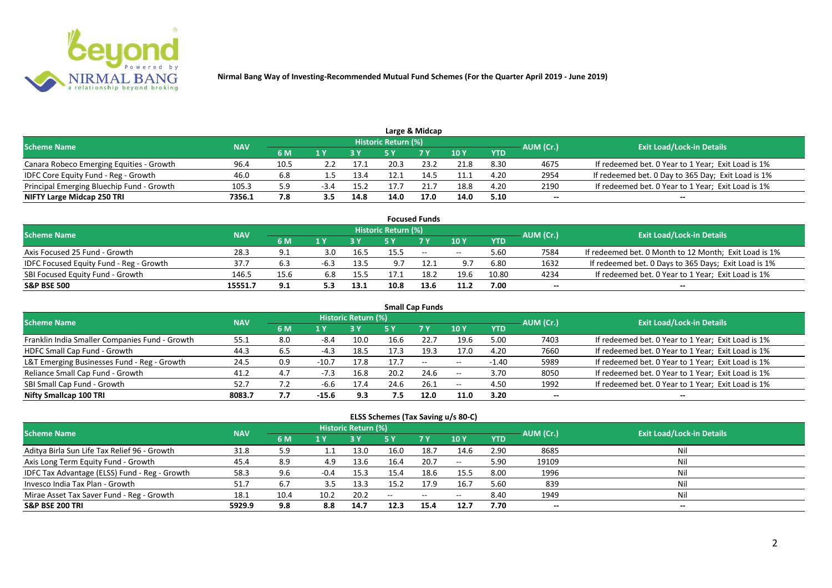

|                                           |            |      |      |      |                            | Large & Midcap |               |            |           |                                                    |
|-------------------------------------------|------------|------|------|------|----------------------------|----------------|---------------|------------|-----------|----------------------------------------------------|
| <b>Scheme Name</b>                        | <b>NAV</b> |      |      |      | <b>Historic Return (%)</b> |                |               |            | AUM (Cr.) | <b>Exit Load/Lock-in Details</b>                   |
|                                           |            | 6 M  |      |      |                            | <b>7 Y</b>     | $\sqrt{10}$ Y | <b>YTD</b> |           |                                                    |
| Canara Robeco Emerging Equities - Growth  | 96.4       | 10.5 |      | 17.1 | 20.3                       | 23.2           | 21.8          | 8.30       | 4675      | If redeemed bet. 0 Year to 1 Year; Exit Load is 1% |
| IDFC Core Equity Fund - Reg - Growth      | 46.0       | 6.8  | 1.5  | 13.4 | 12.1                       | 14.5           | 11.1          | 4.20       | 2954      | If redeemed bet. 0 Day to 365 Day; Exit Load is 1% |
| Principal Emerging Bluechip Fund - Growth | 105.3      | 9.ذ  | -3.4 | 15.2 | 17 7                       |                | 18.8          | 4.20       | 2190      | If redeemed bet. 0 Year to 1 Year; Exit Load is 1% |
| NIFTY Large Midcap 250 TRI                | 7356.1     | 7.8  |      | 14.8 | 14.0                       | 17.0           | 14.0          | 5.10       | --        | $- -$                                              |

|                                                |            |      |     |      |                     | <b>Focused Funds</b> |            |            |           |                                                       |
|------------------------------------------------|------------|------|-----|------|---------------------|----------------------|------------|------------|-----------|-------------------------------------------------------|
| <b>Scheme Name</b>                             | <b>NAV</b> |      |     |      | Historic Return (%) |                      |            |            | AUM (Cr.) | <b>Exit Load/Lock-in Details</b>                      |
|                                                |            | 6 M  | 1 V |      |                     | 7 Y                  | 10Y        | <b>YTD</b> |           |                                                       |
| Axis Focused 25 Fund - Growth                  | 28.3       | 9.1  | 3.0 | 16.5 | 15.5                | $\sim$               | $\sim$ $-$ | 5.60       | 7584      | If redeemed bet. 0 Month to 12 Month; Exit Load is 1% |
| <b>IDFC Focused Equity Fund - Reg - Growth</b> | 37.7       | 6.3  |     | 13.5 | 9.7                 |                      | 9.7        | 6.80       | 1632      | If redeemed bet. 0 Days to 365 Days; Exit Load is 1%  |
| SBI Focused Equity Fund - Growth               | 146.5      | 15.6 | 6.8 | 15.5 |                     | 18.2                 | 19.6       | 10.80      | 4234      | If redeemed bet. 0 Year to 1 Year; Exit Load is 1%    |
| <b>S&amp;P BSE 500</b>                         | 15551.7    | 9.1  |     | 13.1 | 10.8                | 13.6                 | 11.2       | 7.00       | --        | --                                                    |

|                                                |            |     |         |                     |      | <b>Small Cap Funds</b> |       |            |           |                                                    |
|------------------------------------------------|------------|-----|---------|---------------------|------|------------------------|-------|------------|-----------|----------------------------------------------------|
| <b>Scheme Name</b>                             | <b>NAV</b> |     |         | Historic Return (%) |      |                        |       |            | AUM (Cr.) | <b>Exit Load/Lock-in Details</b>                   |
|                                                |            | 6 M | 1 Y     |                     | 5 Y  | <b>7Y</b>              | 10Y   | <b>YTD</b> |           |                                                    |
| Franklin India Smaller Companies Fund - Growth | 55.1       | 8.0 | $-8.4$  | 10.0                | 16.6 | 22.7                   | 19.6  | 5.00       | 7403      | If redeemed bet. 0 Year to 1 Year; Exit Load is 1% |
| HDFC Small Cap Fund - Growth                   | 44.3       | 6.5 | $-4.3$  | 18.5                | 17.3 | 19.3                   | 17.0  | 4.20       | 7660      | If redeemed bet. 0 Year to 1 Year; Exit Load is 1% |
| L&T Emerging Businesses Fund - Reg - Growth    | 24.5       | 0.9 | $-10.7$ | 17.8                | 17.7 | $- -$                  | $- -$ | $-1.40$    | 5989      | If redeemed bet. 0 Year to 1 Year; Exit Load is 1% |
| Reliance Small Cap Fund - Growth               | 41.2       | 4.7 | $-7.3$  | 16.8                | 20.2 | 24.6                   | $- -$ | 3.70       | 8050      | If redeemed bet. 0 Year to 1 Year; Exit Load is 1% |
| SBI Small Cap Fund - Growth                    | 52.7       |     | -6.6    | 17.4                | 24.6 | 26.1                   | $- -$ | 4.50       | 1992      | If redeemed bet. 0 Year to 1 Year; Exit Load is 1% |
| Nifty Smallcap 100 TRI                         | 8083.7     | 7.7 | $-15.6$ | 9.3                 | 7.5  | 12.0                   | 11.0  | 3.20       | --        |                                                    |

### **ELSS Schemes (Tax Saving u/s 80-C)**

| <b>Scheme Name</b>                            | <b>NAV</b> |      |        | <b>Historic Return (%)</b> |      |            |                 | AUM (Cr.)  | <b>Exit Load/Lock-in Details</b> |       |
|-----------------------------------------------|------------|------|--------|----------------------------|------|------------|-----------------|------------|----------------------------------|-------|
|                                               |            | 6 M  | 1 Y    |                            | 5 Y  | <b>7 Y</b> | 10 <sub>1</sub> | <b>YTD</b> |                                  |       |
| Aditya Birla Sun Life Tax Relief 96 - Growth  | 31.8       | 5.9  |        | 13.0                       | 16.0 | 18.7       | 14.6            | 2.90       | 8685                             |       |
| Axis Long Term Equity Fund - Growth           | 45.4       | 8.9  | 4.9    | 13.6                       | 16.4 | 20.7       | $\sim$ $-$      | 5.90       | 19109                            | Nil   |
| IDFC Tax Advantage (ELSS) Fund - Reg - Growth | 58.3       | 9.6  | $-0.4$ | 15.3                       | 15.4 | 18.6       | 15.5            | 8.00       | 1996                             | Ni    |
| Invesco India Tax Plan - Growth               | 51.7       | 6.7  | 3.5    | 13.3                       | 15.2 | 17.9       | 16.             | 5.60       | 839                              | Ni    |
| Mirae Asset Tax Saver Fund - Reg - Growth     | 18.1       | 10.4 | 10.2   | 20.2                       | $-$  | $\sim$     | $- -$           | 8.40       | 1949                             | Nil   |
| <b>S&amp;P BSE 200 TRI</b>                    | 5929.9     | 9.8  | 8.8    | 14.7                       | 12.3 | 15.4       | 12.7            | 7.70       | --                               | $- -$ |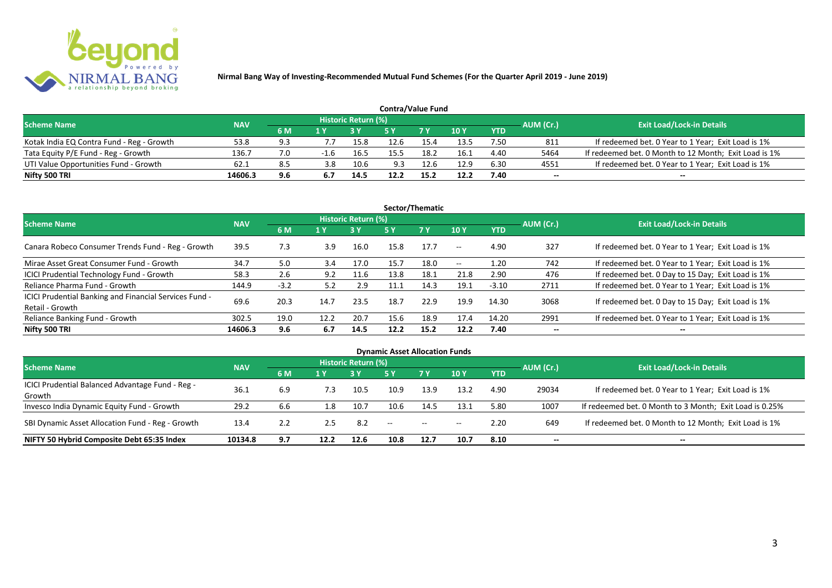

| <b>Contra/Value Fund</b>                  |            |     |                         |                     |      |            |                 |            |           |                                                       |  |  |  |
|-------------------------------------------|------------|-----|-------------------------|---------------------|------|------------|-----------------|------------|-----------|-------------------------------------------------------|--|--|--|
| <b>Scheme Name</b>                        | <b>NAV</b> |     |                         | Historic Return (%) |      |            |                 |            | AUM (Cr.) | <b>Exit Load/Lock-in Details</b>                      |  |  |  |
|                                           |            | 6 M | $\mathbf{1} \mathbf{V}$ |                     |      | <b>7 V</b> | 10 <sub>Y</sub> | <b>YTD</b> |           |                                                       |  |  |  |
| Kotak India EQ Contra Fund - Reg - Growth | 53.8       | 9.3 |                         | 15.8                | 12.6 | 15.4       | 13.5            | 7.50       | 811       | If redeemed bet. 0 Year to 1 Year; Exit Load is 1%    |  |  |  |
| Tata Equity P/E Fund - Reg - Growth       | 136.7      | 7.0 | $-1.6$                  | 16.5                | 15.5 | 18.2       | 16.1            | 4.40       | 5464      | If redeemed bet. 0 Month to 12 Month; Exit Load is 1% |  |  |  |
| UTI Value Opportunities Fund - Growth     | 62.1       | 8.5 | 3.8                     | 10.6                | 9.3  | 12.6       | 12.9            | 6.30       | 4551      | If redeemed bet. 0 Year to 1 Year; Exit Load is 1%    |  |  |  |
| Nifty 500 TRI                             | 14606.3    | 9.6 |                         | 14.5                | 12.2 | 15.7       | 12.2            | 7.40       | --        | $- -$                                                 |  |  |  |

| Sector/Thematic                                                           |            |        |      |                            |      |           |            |            |           |                                                    |  |  |  |
|---------------------------------------------------------------------------|------------|--------|------|----------------------------|------|-----------|------------|------------|-----------|----------------------------------------------------|--|--|--|
| <b>Scheme Name</b>                                                        | <b>NAV</b> |        |      | <b>Historic Return (%)</b> |      |           |            |            | AUM (Cr.) | <b>Exit Load/Lock-in Details</b>                   |  |  |  |
|                                                                           |            | 6 M    | 1 Y  | <b>3 Y</b>                 | 5 Y  | <b>7Y</b> | <b>10Y</b> | <b>YTD</b> |           |                                                    |  |  |  |
| Canara Robeco Consumer Trends Fund - Reg - Growth                         | 39.5       | 7.3    | 3.9  | 16.0                       | 15.8 | 17.7      | $\sim$ $-$ | 4.90       | 327       | If redeemed bet. 0 Year to 1 Year; Exit Load is 1% |  |  |  |
| Mirae Asset Great Consumer Fund - Growth                                  | 34.7       | 5.0    | 3.4  | 17.0                       | 15.7 | 18.0      | $- -$      | 1.20       | 742       | If redeemed bet. 0 Year to 1 Year; Exit Load is 1% |  |  |  |
| <b>ICICI Prudential Technology Fund - Growth</b>                          | 58.3       | 2.6    | 9.2  | 11.6                       | 13.8 | 18.1      | 21.8       | 2.90       | 476       | If redeemed bet. 0 Day to 15 Day; Exit Load is 1%  |  |  |  |
| Reliance Pharma Fund - Growth                                             | 144.9      | $-3.2$ | 5.2  | 2.9                        |      | 14.3      | 19.1       | $-3.10$    | 2711      | If redeemed bet. 0 Year to 1 Year; Exit Load is 1% |  |  |  |
| ICICI Prudential Banking and Financial Services Fund -<br>Retail - Growth | 69.6       | 20.3   | 14.7 | 23.5                       | 18.7 | 22.9      | 19.9       | 14.30      | 3068      | If redeemed bet. 0 Day to 15 Day; Exit Load is 1%  |  |  |  |
| Reliance Banking Fund - Growth                                            | 302.5      | 19.0   | 12.2 | 20.7                       | 15.6 | 18.9      | 17.4       | 14.20      | 2991      | If redeemed bet. 0 Year to 1 Year; Exit Load is 1% |  |  |  |
| Nifty 500 TRI                                                             | 14606.3    | 9.6    | 6.7  | 14.5                       | 12.2 | 15.2      | 12.2       | 7.40       | $- -$     | $\overline{\phantom{a}}$                           |  |  |  |

| <b>Dynamic Asset Allocation Funds</b>            |            |     |      |                            |      |           |            |            |           |                                                         |  |  |  |
|--------------------------------------------------|------------|-----|------|----------------------------|------|-----------|------------|------------|-----------|---------------------------------------------------------|--|--|--|
| <b>Scheme Name</b>                               | <b>NAV</b> |     |      | <b>Historic Return (%)</b> |      |           |            |            |           | <b>Exit Load/Lock-in Details</b>                        |  |  |  |
|                                                  |            | 6 M | 1 Y  |                            | 5 Y  | <b>7Y</b> | <b>10Y</b> | <b>YTD</b> | AUM (Cr.) |                                                         |  |  |  |
| ICICI Prudential Balanced Advantage Fund - Reg - |            |     |      |                            |      |           |            |            |           |                                                         |  |  |  |
| Growth                                           | 36.1       | 6.9 | 7.3  | 10.5                       | 10.9 | 13.9      | 13.2       | 4.90       | 29034     | If redeemed bet. 0 Year to 1 Year; Exit Load is 1%      |  |  |  |
| Invesco India Dynamic Equity Fund - Growth       | 29.2       | 6.6 | 1.8  | 10.7                       | 10.6 | 14.5      | 13.1       | 5.80       | 1007      | If redeemed bet. 0 Month to 3 Month; Exit Load is 0.25% |  |  |  |
| SBI Dynamic Asset Allocation Fund - Reg - Growth | 13.4       | 2.2 | 2.5  | 8.2                        | --   | $- -$     | $- -$      | 2.20       | 649       | If redeemed bet. 0 Month to 12 Month; Exit Load is 1%   |  |  |  |
| NIFTY 50 Hybrid Composite Debt 65:35 Index       | 10134.8    | 9.7 | 12.2 | 12.6                       | 10.8 | 12.7      | 10.7       | 8.10       | --        | $- -$                                                   |  |  |  |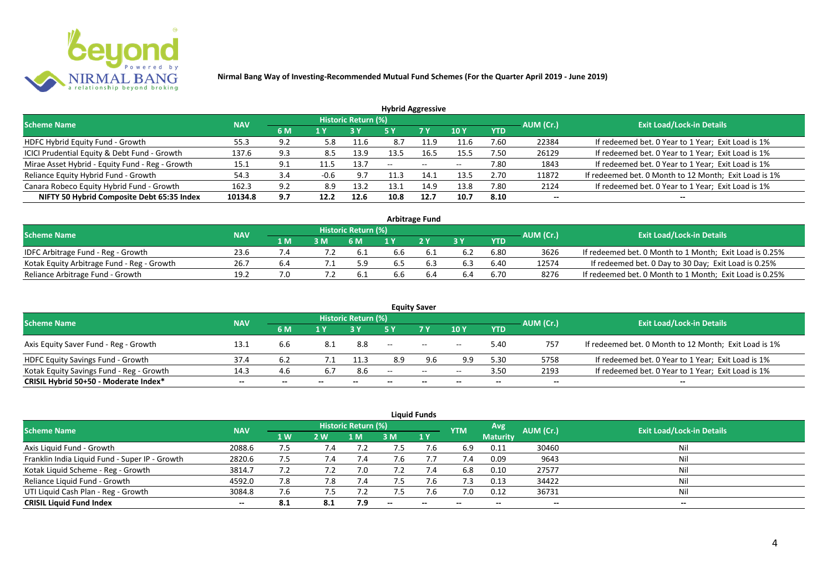

| <b>Hybrid Aggressive</b>                        |            |     |        |                     |       |               |            |            |           |                                                       |  |  |  |
|-------------------------------------------------|------------|-----|--------|---------------------|-------|---------------|------------|------------|-----------|-------------------------------------------------------|--|--|--|
| <b>Scheme Name</b>                              | <b>NAV</b> |     |        | Historic Return (%) |       |               |            |            | AUM (Cr.) | <b>Exit Load/Lock-in Details</b>                      |  |  |  |
|                                                 |            | 6 M | '1 Y   |                     | 5 Y   | 7 Y           | <b>10Y</b> | <b>YTD</b> |           |                                                       |  |  |  |
| HDFC Hybrid Equity Fund - Growth                | 55.3       | 9.2 | 5.8    | 11.6                | 8.7   | 11.9          | 11.6       | 7.60       | 22384     | If redeemed bet. 0 Year to 1 Year; Exit Load is 1%    |  |  |  |
| ICICI Prudential Equity & Debt Fund - Growth    | 137.6      | 9.3 | 8.5    | 13.9                | 13.5  | 16.5          | 15.5       | 7.50       | 26129     | If redeemed bet. 0 Year to 1 Year; Exit Load is 1%    |  |  |  |
| Mirae Asset Hybrid - Equity Fund - Reg - Growth | 15.1       | 9.1 |        | 13.7                | $- -$ | $\sim$ $\sim$ | $- -$      | 7.80       | 1843      | If redeemed bet. 0 Year to 1 Year; Exit Load is 1%    |  |  |  |
| Reliance Equity Hybrid Fund - Growth            | 54.3       | 3.4 | $-0.6$ | 9.7                 |       | 14.7          | 13.5       | 2.70       | 11872     | If redeemed bet. 0 Month to 12 Month; Exit Load is 1% |  |  |  |
| Canara Robeco Equity Hybrid Fund - Growth       | 162.3      | 9.2 | 8.9    | 13.2                | 13.1  | 14.9          | 13.8       | 7.80       | 2124      | If redeemed bet. 0 Year to 1 Year; Exit Load is 1%    |  |  |  |
| NIFTY 50 Hybrid Composite Debt 65:35 Index      | 10134.8    | 9.7 | 12.2   | 12.6                | 10.8  | 12.7          | 10.7       | 8.10       | $- -$     |                                                       |  |  |  |
|                                                 |            |     |        |                     |       |               |            |            |           |                                                       |  |  |  |

| <b>Arbitrage Fund</b>                      |            |     |     |                            |     |    |     |            |           |                                                         |  |  |  |
|--------------------------------------------|------------|-----|-----|----------------------------|-----|----|-----|------------|-----------|---------------------------------------------------------|--|--|--|
| Scheme Name                                | <b>NAV</b> |     |     | <b>Historic Return (%)</b> |     |    |     |            | AUM (Cr.) | <b>Exit Load/Lock-in Details</b>                        |  |  |  |
|                                            |            | 1 M | 3 M | '6 M                       |     | つV |     | <b>YTD</b> |           |                                                         |  |  |  |
| IDFC Arbitrage Fund - Reg - Growth         | 23.6       |     |     | -6.1                       | 6.6 |    | 6.2 | 6.80       | 3626      | If redeemed bet. 0 Month to 1 Month; Exit Load is 0.25% |  |  |  |
| Kotak Equity Arbitrage Fund - Reg - Growth | 26.7       | b.4 |     |                            | b.5 |    | 6.3 | 6.40       | 12574     | If redeemed bet. 0 Day to 30 Day; Exit Load is 0.25%    |  |  |  |
| Reliance Arbitrage Fund - Growth           | 19.2       | 7.0 |     | 6.1                        | 6.6 |    | 6.4 | 6.70       | 8276      | If redeemed bet. 0 Month to 1 Month; Exit Load is 0.25% |  |  |  |

|                                          |            |     |                          |                     |                          | <b>Equity Saver</b>      |            |            |           |                                                       |
|------------------------------------------|------------|-----|--------------------------|---------------------|--------------------------|--------------------------|------------|------------|-----------|-------------------------------------------------------|
| <b>Scheme Name</b>                       | <b>NAV</b> |     |                          | Historic Return (%) |                          |                          |            |            | AUM (Cr.) | <b>Exit Load/Lock-in Details</b>                      |
|                                          |            | 6 M | 1 V                      |                     |                          | 7 Y                      | <b>10Y</b> | <b>YTD</b> |           |                                                       |
| Axis Equity Saver Fund - Reg - Growth    | 13.1       | 6.6 | 8.1                      | 8.8                 | $\overline{\phantom{a}}$ | $- -$                    | $- -$      | 5.40       | 757       | If redeemed bet. 0 Month to 12 Month; Exit Load is 1% |
| <b>HDFC Equity Savings Fund - Growth</b> | 37.4       |     |                          | 11.3                | 8.9                      | 9.6                      | 9.9        | 5.30       | 5758      | If redeemed bet. 0 Year to 1 Year; Exit Load is 1%    |
| Kotak Equity Savings Fund - Reg - Growth | 14.3       | 4.6 | 6.7                      | 8.6                 | $- -$                    | $  \,$                   | $- -$      | 3.50       | 2193      | If redeemed bet. 0 Year to 1 Year; Exit Load is 1%    |
| CRISIL Hybrid 50+50 - Moderate Index*    | $- -$      |     | $\overline{\phantom{a}}$ | $- -$               | $- -$                    | $\overline{\phantom{a}}$ | --         | $- -$      | $- -$     | $- -$                                                 |

|                                                |            |                |           |                            |     | <b>Liquid Funds</b> |            |                 |           |                                  |
|------------------------------------------------|------------|----------------|-----------|----------------------------|-----|---------------------|------------|-----------------|-----------|----------------------------------|
| Scheme Name                                    | <b>NAV</b> |                |           | <b>Historic Return (%)</b> |     |                     | <b>YTM</b> | Avg             | AUM (Cr.) | <b>Exit Load/Lock-in Details</b> |
|                                                |            | 1 <sub>W</sub> | <b>2W</b> | 1 M                        | 3 M | $\sqrt{1}$ Y        |            | <b>Maturity</b> |           |                                  |
| Axis Liquid Fund - Growth                      | 2088.6     | 7.5            | 7.4       |                            |     | 7.6                 | 6.9        | 0.11            | 30460     | Nil                              |
| Franklin India Liquid Fund - Super IP - Growth | 2820.6     | 7.5            | 7.4       |                            |     |                     | 7.4        | 0.09            | 9643      | Nil                              |
| Kotak Liquid Scheme - Reg - Growth             | 3814.7     | 7.2            |           | 7.0                        | 7.2 | 7.4                 | 6.8        | 0.10            | 27577     | Nil                              |
| Reliance Liquid Fund - Growth                  | 4592.0     | 7.8            | 7.8       | 7.4                        |     | /0.6                | 7.3        | 0.13            | 34422     | Nil                              |
| UTI Liquid Cash Plan - Reg - Growth            | 3084.8     | 7.6            | ל. /      |                            |     | 7.6                 | 7.0        | 0.12            | 36731     | Nil                              |
| <b>CRISIL Liquid Fund Index</b>                | $- -$      | 8.1            | 8.1       | 7.9                        | $-$ | $- -$               | $- -$      | --              | $- -$     | $\sim$                           |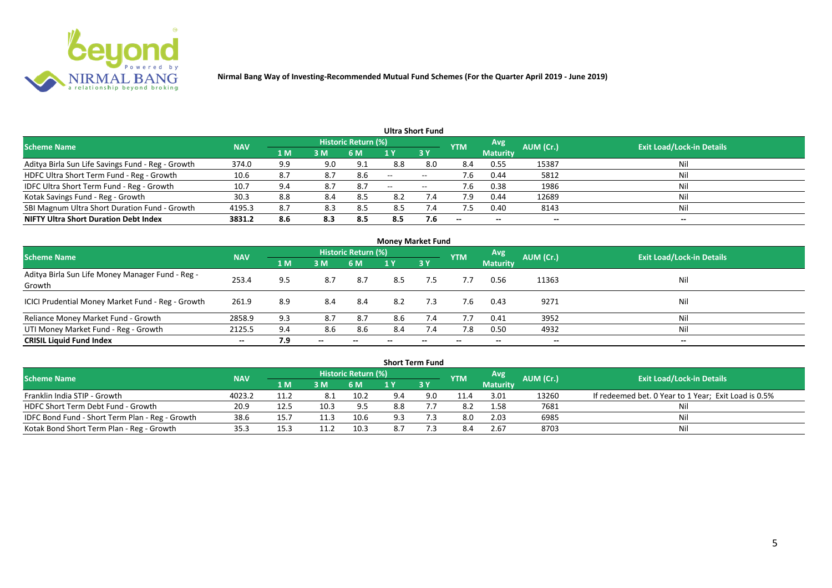

|                                                   |            |                |     |                            |                          | <b>Ultra Short Fund</b>  |            |                          |           |                                  |
|---------------------------------------------------|------------|----------------|-----|----------------------------|--------------------------|--------------------------|------------|--------------------------|-----------|----------------------------------|
| <b>Scheme Name</b>                                | <b>NAV</b> |                |     | <b>Historic Return (%)</b> |                          |                          | <b>YTM</b> | Avg                      | AUM (Cr.) | <b>Exit Load/Lock-in Details</b> |
|                                                   |            | 1 <sub>M</sub> | 3 M | 6 M                        |                          | 3Y                       |            | <b>Maturity</b>          |           |                                  |
| Aditya Birla Sun Life Savings Fund - Reg - Growth | 374.0      | 9.9            | 9.0 | 9.1                        | 8.8                      | 8.0                      | 8.4        | 0.55                     | 15387     | Nil                              |
| HDFC Ultra Short Term Fund - Reg - Growth         | 10.6       | 8.7            | 8.7 | 8.6                        | $\overline{\phantom{a}}$ | $\overline{\phantom{a}}$ | 7.6        | 0.44                     | 5812      | Nil                              |
| IDFC Ultra Short Term Fund - Reg - Growth         | 10.7       | 9.4            | 8.7 | 8.7                        | $- -$                    | $\overline{\phantom{a}}$ | 7.6        | 0.38                     | 1986      | Nil                              |
| Kotak Savings Fund - Reg - Growth                 | 30.3       | 8.8            | 8.4 | 8.5                        | 8.2                      | 7.4                      | 7.9        | 0.44                     | 12689     | Nil                              |
| SBI Magnum Ultra Short Duration Fund - Growth     | 4195.3     | 8.7            | 8.3 | 8.5                        | 8.5                      | 7.4                      | 7.5        | 0.40                     | 8143      | Nil                              |
| <b>NIFTY Ultra Short Duration Debt Index</b>      | 3831.2     | 8.6            | 8.3 | 8.5                        | 8.5                      | 7.6                      | $- -$      | $\overline{\phantom{a}}$ | --        | $- -$                            |

|                                                            |            |     |       |                     | <b>Money Market Fund</b> |     |            |                 |           |                                  |
|------------------------------------------------------------|------------|-----|-------|---------------------|--------------------------|-----|------------|-----------------|-----------|----------------------------------|
| <b>Scheme Name</b>                                         | <b>NAV</b> |     |       | Historic Return (%) |                          |     | <b>YTM</b> | Avg             | AUM (Cr.) | <b>Exit Load/Lock-in Details</b> |
|                                                            |            | 1 M | 3M    | 6 M                 | 1 Y                      | 3Y  |            | <b>Maturity</b> |           |                                  |
| Aditya Birla Sun Life Money Manager Fund - Reg -<br>Growth | 253.4      | 9.5 | 8.7   | 8.7                 | 8.5                      | 7.5 | 7.7        | 0.56            | 11363     | Nil                              |
| ICICI Prudential Money Market Fund - Reg - Growth          | 261.9      | 8.9 | 8.4   | -8.4                | 8.2                      | 7.3 | 7.6        | 0.43            | 9271      | Nil                              |
| Reliance Money Market Fund - Growth                        | 2858.9     | 9.3 | 8.7   | 8.7                 | 8.6                      | 7.4 | 7.7        | 0.41            | 3952      | Nil                              |
| UTI Money Market Fund - Reg - Growth                       | 2125.5     | 9.4 | 8.6   | 8.6                 | 8.4                      | 7.4 | 7.8        | 0.50            | 4932      | Nil                              |
| <b>CRISIL Liquid Fund Index</b>                            | $- -$      | 7.9 | $- -$ |                     |                          |     |            | --              | $- -$     | $- -$                            |

|                                                 |            |      |      |                            |     | <b>Short Term Fund</b> |            |                 |           |                                                      |
|-------------------------------------------------|------------|------|------|----------------------------|-----|------------------------|------------|-----------------|-----------|------------------------------------------------------|
| <b>Scheme Name</b>                              | <b>NAV</b> |      |      | <b>Historic Return (%)</b> |     |                        | <b>YTM</b> | <b>Avg</b>      | AUM (Cr.) | <b>Exit Load/Lock-in Details</b>                     |
|                                                 |            | 4 MZ | 3M   | 6 M                        |     | 73 Y                   |            | <b>Maturity</b> |           |                                                      |
| Franklin India STIP - Growth                    | 4023.2     |      | 8.1  | 10.2                       | 9.4 | 9.0                    | 11.4       | 3.01            | 13260     | If redeemed bet. 0 Year to 1 Year; Exit Load is 0.5% |
| HDFC Short Term Debt Fund - Growth              | 20.9       | 12.5 | 10.3 | 9.5                        | 8.8 |                        | 8.2        | 1.58            | 7681      | Nil                                                  |
| IDFC Bond Fund - Short Term Plan - Reg - Growth | 38.6       | 15.7 | 11.3 | 10.6                       | 9.3 |                        | 8.0        | 2.03            | 6985      | Nil                                                  |
| Kotak Bond Short Term Plan - Reg - Growth       | 35.3       | 15.3 |      | 10.3                       |     |                        | 8.4        | 2.67            | 8703      | Nil                                                  |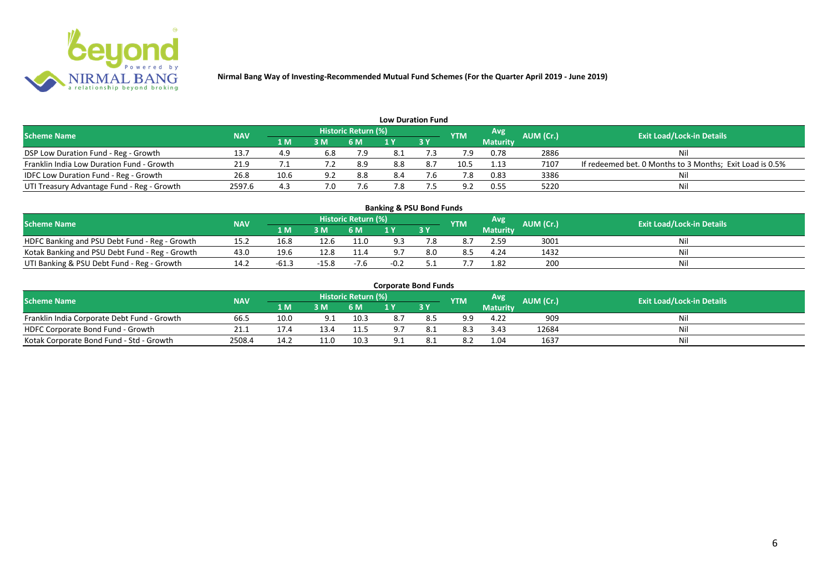

| <b>Low Duration Fund</b>                   |            |      |     |                            |     |           |            |                 |           |                                                          |  |  |  |  |
|--------------------------------------------|------------|------|-----|----------------------------|-----|-----------|------------|-----------------|-----------|----------------------------------------------------------|--|--|--|--|
| <b>Scheme Name</b>                         | <b>NAV</b> |      |     | <b>Historic Return (%)</b> |     |           | <b>YTM</b> | Avg             | AUM (Cr.) | <b>Exit Load/Lock-in Details</b>                         |  |  |  |  |
|                                            |            | '1 M | 3M  | <b>6 M</b>                 |     | <b>3Y</b> |            | <b>Maturity</b> |           |                                                          |  |  |  |  |
| DSP Low Duration Fund - Reg - Growth       | 13.7       | 4.9  | 6.8 | 7.9                        | 8.1 |           |            | 0.78            | 2886      | Nil                                                      |  |  |  |  |
| Franklin India Low Duration Fund - Growth  | 21.9       |      |     | 8.9                        | 8.8 |           | 10.5       | 1.13            | 7107      | If redeemed bet. 0 Months to 3 Months; Exit Load is 0.5% |  |  |  |  |
| IDFC Low Duration Fund - Reg - Growth      | 26.8       | 10.6 | 9.2 | 8.8                        | 8.4 |           |            | 0.83            | 3386      | Nil                                                      |  |  |  |  |
| UTI Treasury Advantage Fund - Reg - Growth | 2597.6     | 4.3  | 7.0 |                            | 7.8 |           | . വ        | 0.55            | 5220      | Nil                                                      |  |  |  |  |

### **Banking & PSU Bond Funds**

| <b>Scheme Name</b>                             | <b>NAV</b> |       |      | Historic Return (%) |                |     | <b>YTM</b> | Avg             | <b>AUM (Cr.)</b> | <b>Exit Load/Lock-in Details</b> |
|------------------------------------------------|------------|-------|------|---------------------|----------------|-----|------------|-----------------|------------------|----------------------------------|
|                                                |            | 1 M.  | 3 M  | 6 M                 | $\blacksquare$ |     |            | <b>Maturity</b> |                  |                                  |
| HDFC Banking and PSU Debt Fund - Reg - Growth  | 15.2       | 16.8  | 12.6 | 11.0                |                |     | 8.7        | 2.59            | 3001             |                                  |
| Kotak Banking and PSU Debt Fund - Reg - Growth | 43.0       | 19.6  |      | 11.4                |                | 8.0 | 8.5        | 4.24            | 1432             |                                  |
| UTI Banking & PSU Debt Fund - Reg - Growth     | 14.2       | -bl.: |      | -7.6                |                |     |            | 1.82            | 200              |                                  |

#### **Corporate Bond Funds**

| Scheme Name                                 | <b>NAV</b> |      |     | <b>Historic Return (%)</b> |    |    | <b>YTM</b> | Avg             | AUM (Cr.). | <b>Exit Load/Lock-in Details</b> |
|---------------------------------------------|------------|------|-----|----------------------------|----|----|------------|-----------------|------------|----------------------------------|
|                                             |            | 1 M' | 3 M |                            |    | 3Y |            | <b>Maturity</b> |            |                                  |
| Franklin India Corporate Debt Fund - Growth | 66.5       | 10.0 | 9.1 | 10.3                       |    |    | -a q       | 4.22            | 909        | Ni                               |
| HDFC Corporate Bond Fund - Growth           | 21.1       |      |     | 11.5                       | 07 |    | 8.3        | 3.43            | 12684      | Nil                              |
| Kotak Corporate Bond Fund - Std - Growth    | 2508.4     |      |     | 10.3                       | ᄼ  |    | 8.2        | 1.04            | 1637       | Ni                               |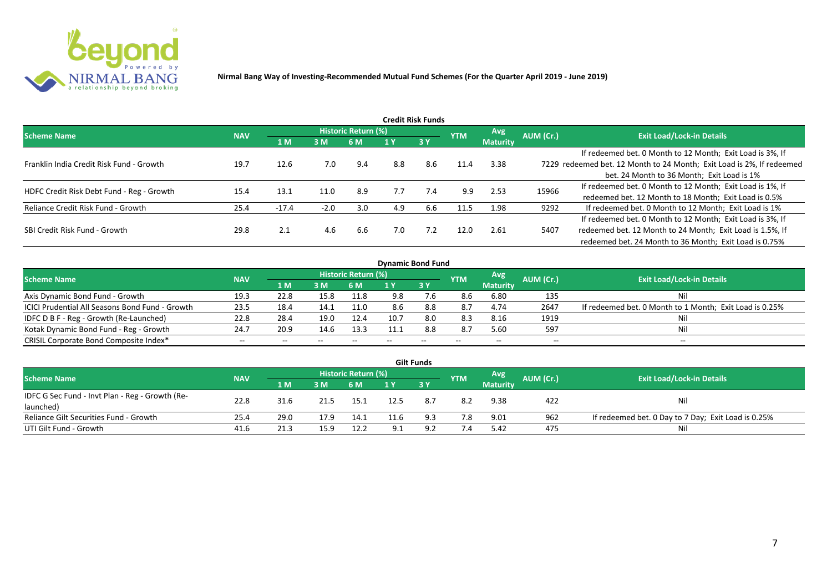

|                                           |            |         |        |                     |     | <b>Credit Risk Funds</b> |            |                 |           |                                                                       |
|-------------------------------------------|------------|---------|--------|---------------------|-----|--------------------------|------------|-----------------|-----------|-----------------------------------------------------------------------|
| <b>Scheme Name</b>                        | <b>NAV</b> |         |        | Historic Return (%) |     |                          | <b>YTM</b> | Avg.            | AUM (Cr.) | <b>Exit Load/Lock-in Details</b>                                      |
|                                           |            | 1 M     | 3 M    | 6 M                 | 1 Y | 3Y                       |            | <b>Maturity</b> |           |                                                                       |
|                                           |            |         |        |                     |     |                          |            |                 |           | If redeemed bet. 0 Month to 12 Month; Exit Load is 3%, If             |
| Franklin India Credit Risk Fund - Growth  | 19.7       | 12.6    | 7.0    | 9.4                 | 8.8 | 8.6                      | 11.4       | 3.38            |           | 7229 redeemed bet. 12 Month to 24 Month; Exit Load is 2%, If redeemed |
|                                           |            |         |        |                     |     |                          |            |                 |           | bet. 24 Month to 36 Month; Exit Load is 1%                            |
| HDFC Credit Risk Debt Fund - Reg - Growth | 15.4       | 13.1    | 11.0   | 8.9                 | 7.7 | 7.4                      | 9.9        | 2.53            | 15966     | If redeemed bet. 0 Month to 12 Month; Exit Load is 1%, If             |
|                                           |            |         |        |                     |     |                          |            |                 |           | redeemed bet. 12 Month to 18 Month; Exit Load is 0.5%                 |
| Reliance Credit Risk Fund - Growth        | 25.4       | $-17.4$ | $-2.0$ | 3.0                 | 4.9 | 6.6                      | 11.5       | 1.98            | 9292      | If redeemed bet. 0 Month to 12 Month; Exit Load is 1%                 |
|                                           |            |         |        |                     |     |                          |            |                 |           | If redeemed bet. 0 Month to 12 Month; Exit Load is 3%, If             |
| SBI Credit Risk Fund - Growth             | 29.8       | 2.1     | 4.6    | 6.6                 | 7.0 | 7.2                      | 12.0       | 2.61            | 5407      | redeemed bet. 12 Month to 24 Month; Exit Load is 1.5%, If             |
|                                           |            |         |        |                     |     |                          |            |                 |           | redeemed bet. 24 Month to 36 Month; Exit Load is 0.75%                |

| <b>Dynamic Bond Fund</b>                        |            |            |       |                            |      |      |            |                 |           |                                                         |  |  |  |  |
|-------------------------------------------------|------------|------------|-------|----------------------------|------|------|------------|-----------------|-----------|---------------------------------------------------------|--|--|--|--|
| <b>Scheme Name</b>                              | <b>NAV</b> |            |       | <b>Historic Return (%)</b> |      |      | <b>YTM</b> | <b>Avg</b>      | AUM (Cr.) | <b>Exit Load/Lock-in Details</b>                        |  |  |  |  |
|                                                 |            | <b>1 M</b> | 3M    | 6 M                        |      | 13 Y |            | <b>Maturity</b> |           |                                                         |  |  |  |  |
| Axis Dynamic Bond Fund - Growth                 | 19.3       | 22.8       | 15.8  | 11.8                       | 9.8  | .6   | 8.6        | 6.80            | 135       | Nil                                                     |  |  |  |  |
| ICICI Prudential All Seasons Bond Fund - Growth | 23.5       | 18.4       | 14.1  | 11.0                       | 8.6  | 8.8  | 8.7        | 4.74            | 2647      | If redeemed bet. 0 Month to 1 Month; Exit Load is 0.25% |  |  |  |  |
| IDFC D B F - Reg - Growth (Re-Launched)         | 22.8       | 28.4       | 19.0  | 12.4                       | 10.7 | 8.0  | 8.3        | 8.16            | 1919      | Nil                                                     |  |  |  |  |
| Kotak Dynamic Bond Fund - Reg - Growth          | 24.7       | 20.9       | 14.6  | 13.3                       | 11.1 | 8.8  | 8.7        | 5.60            | 597       | Nil                                                     |  |  |  |  |
| CRISIL Corporate Bond Composite Index*          | $- -$      | $- -$      | $- -$ |                            |      | --   | $- -$      | $-$             | --        | $- -$                                                   |  |  |  |  |

|                                                 |            |      |      |                            |     | <b>Gilt Funds</b> |            |                 |           |                                                     |
|-------------------------------------------------|------------|------|------|----------------------------|-----|-------------------|------------|-----------------|-----------|-----------------------------------------------------|
| <b>Scheme Name</b>                              | <b>NAV</b> |      |      | <b>Historic Return (%)</b> |     |                   | <b>YTM</b> | Avg             | AUM (Cr.) | <b>Exit Load/Lock-in Details</b>                    |
|                                                 |            | 1 M  | 3 M  | 6 M                        | 1 Y | 73 Y              |            | <b>Maturity</b> |           |                                                     |
| IDFC G Sec Fund - Invt Plan - Reg - Growth (Re- | 22.8       | 31.6 |      | 15.1                       |     |                   | 8.2        | 9.38            | 422       | Nil                                                 |
| launched)                                       |            |      |      |                            |     |                   |            |                 |           |                                                     |
| Reliance Gilt Securities Fund - Growth          | 25.4       | 29.0 | 17.9 | 14.1                       |     | 9.3               | 7.8        | 9.01            | 962       | If redeemed bet. 0 Day to 7 Day; Exit Load is 0.25% |
| UTI Gilt Fund - Growth                          | 41.6       | 21.3 | 15.9 | 12.2                       | O 1 | ດ ເ               | 7.4        | 5.42            | 475       | Nil                                                 |